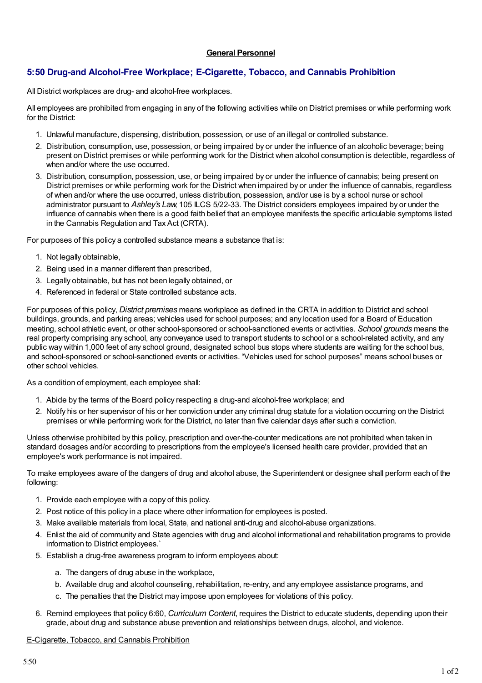## **General Personnel**

# **5:50 Drug-and Alcohol-Free Workplace; E-Cigarette, Tobacco, and Cannabis Prohibition**

All District workplaces are drug- and alcohol-free workplaces.

All employees are prohibited from engaging in any of the following activities while on District premises or while performing work for the District:

- 1. Unlawful manufacture, dispensing, distribution, possession, or use of an illegal or controlled substance.
- 2. Distribution, consumption, use, possession, or being impaired by or under the influence of an alcoholic beverage; being present on District premises or while performing work for the District when alcohol consumption is detectible, regardless of when and/or where the use occurred.
- 3. Distribution, consumption, possession, use, or being impaired by or under the influence of cannabis; being present on District premises or while performing work for the District when impaired by or under the influence of cannabis, regardless of when and/or where the use occurred, unless distribution, possession, and/or use is by a school nurse or school administrator pursuant to *Ashley's Law*, 105 ILCS 5/22-33. The District considers employees impaired by or under the influence of cannabis when there is a good faith belief that an employee manifests the specific articulable symptoms listed in the Cannabis Regulation and Tax Act (CRTA).

For purposes of this policy a controlled substance means a substance that is:

- 1. Not legally obtainable,
- 2. Being used in a manner different than prescribed,
- 3. Legally obtainable, but has not been legally obtained, or
- 4. Referenced in federal or State controlled substance acts.

For purposes of this policy, *District premises* means workplace as defined in the CRTA in addition to District and school buildings, grounds, and parking areas; vehicles used for school purposes; and any location used for a Board of Education meeting, school athletic event, or other school-sponsored or school-sanctioned events or activities. *School grounds* means the real property comprising any school, any conveyance used to transport students to school or a school-related activity, and any public way within 1,000 feet of any school ground, designated school bus stops where students are waiting for the school bus, and school-sponsored or school-sanctioned events or activities. "Vehicles used for school purposes" means school buses or other school vehicles.

As a condition of employment, each employee shall:

- 1. Abide by the terms of the Board policy respecting a drug-and alcohol-free workplace; and
- 2. Notify his or her supervisor of his or her conviction under any criminal drug statute for a violation occurring on the District premises or while performing work for the District, no later than five calendar days after such a conviction.

Unless otherwise prohibited by this policy, prescription and over-the-counter medications are not prohibited when taken in standard dosages and/or according to prescriptions from the employee's licensed health care provider, provided that an employee's work performance is not impaired.

To make employees aware of the dangers of drug and alcohol abuse, the Superintendent or designee shall perform each of the following:

- 1. Provide each employee with a copy of this policy.
- 2. Post notice of this policy in a place where other information for employees is posted.
- 3. Make available materials from local, State, and national anti-drug and alcohol-abuse organizations.
- 4. Enlist the aid of community and State agencies with drug and alcohol informational and rehabilitation programs to provide information to District employees.`
- 5. Establish a drug-free awareness program to inform employees about:
	- a. The dangers of drug abuse in the workplace,
	- b. Available drug and alcohol counseling, rehabilitation, re-entry, and any employee assistance programs, and
	- c. The penalties that the District may impose upon employees for violations of this policy.
- 6. Remind employees that policy 6:60, *Curriculum Content*, requires the District to educate students, depending upon their grade, about drug and substance abuse prevention and relationships between drugs, alcohol, and violence.

#### E-Cigarette, Tobacco, and Cannabis Prohibition